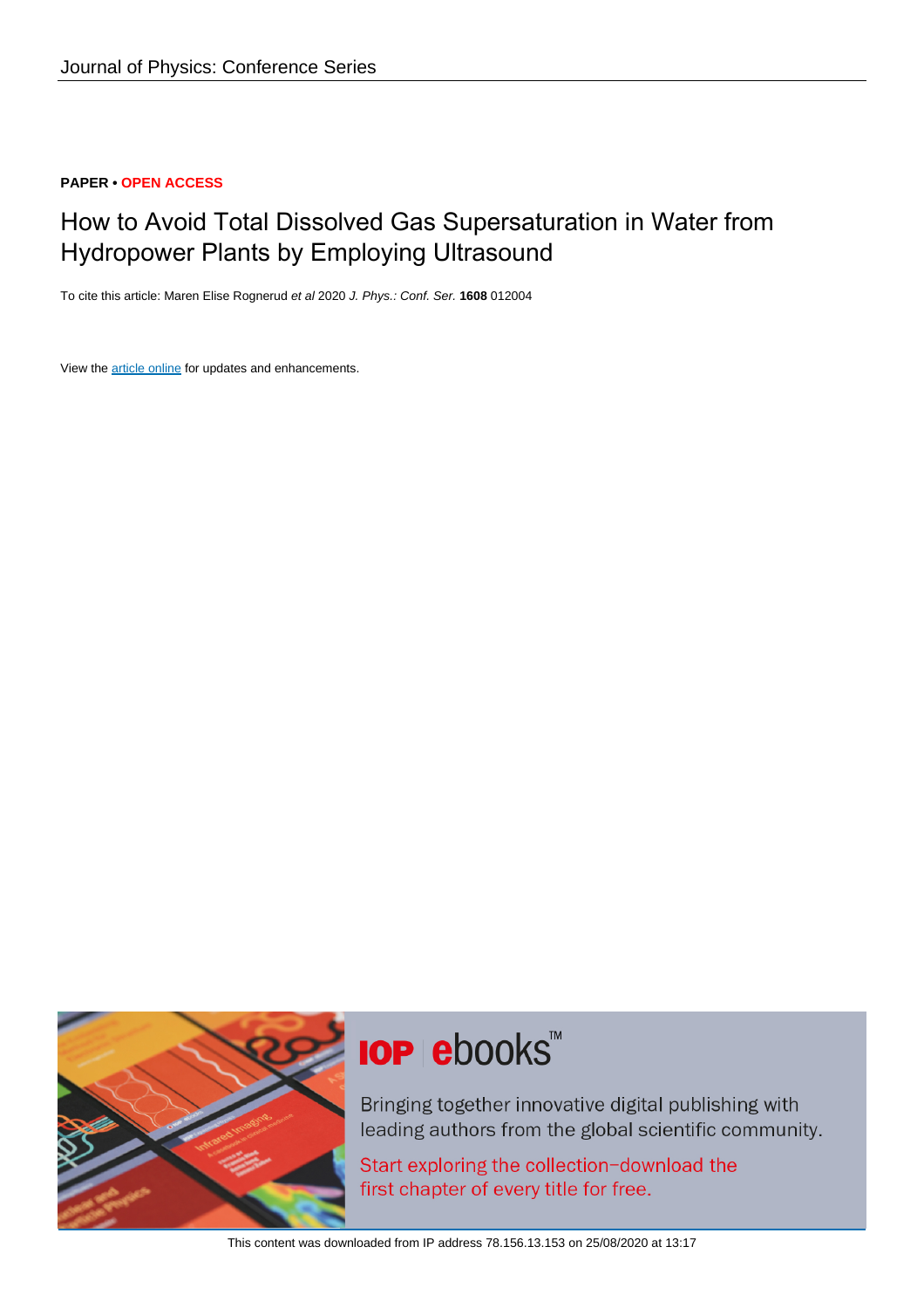#### **PAPER • OPEN ACCESS**

### How to Avoid Total Dissolved Gas Supersaturation in Water from Hydropower Plants by Employing Ultrasound

To cite this article: Maren Elise Rognerud et al 2020 J. Phys.: Conf. Ser. **1608** 012004

View the [article online](https://doi.org/10.1088/1742-6596/1608/1/012004) for updates and enhancements.



# **IOP ebooks™**

Bringing together innovative digital publishing with leading authors from the global scientific community.

Start exploring the collection-download the first chapter of every title for free.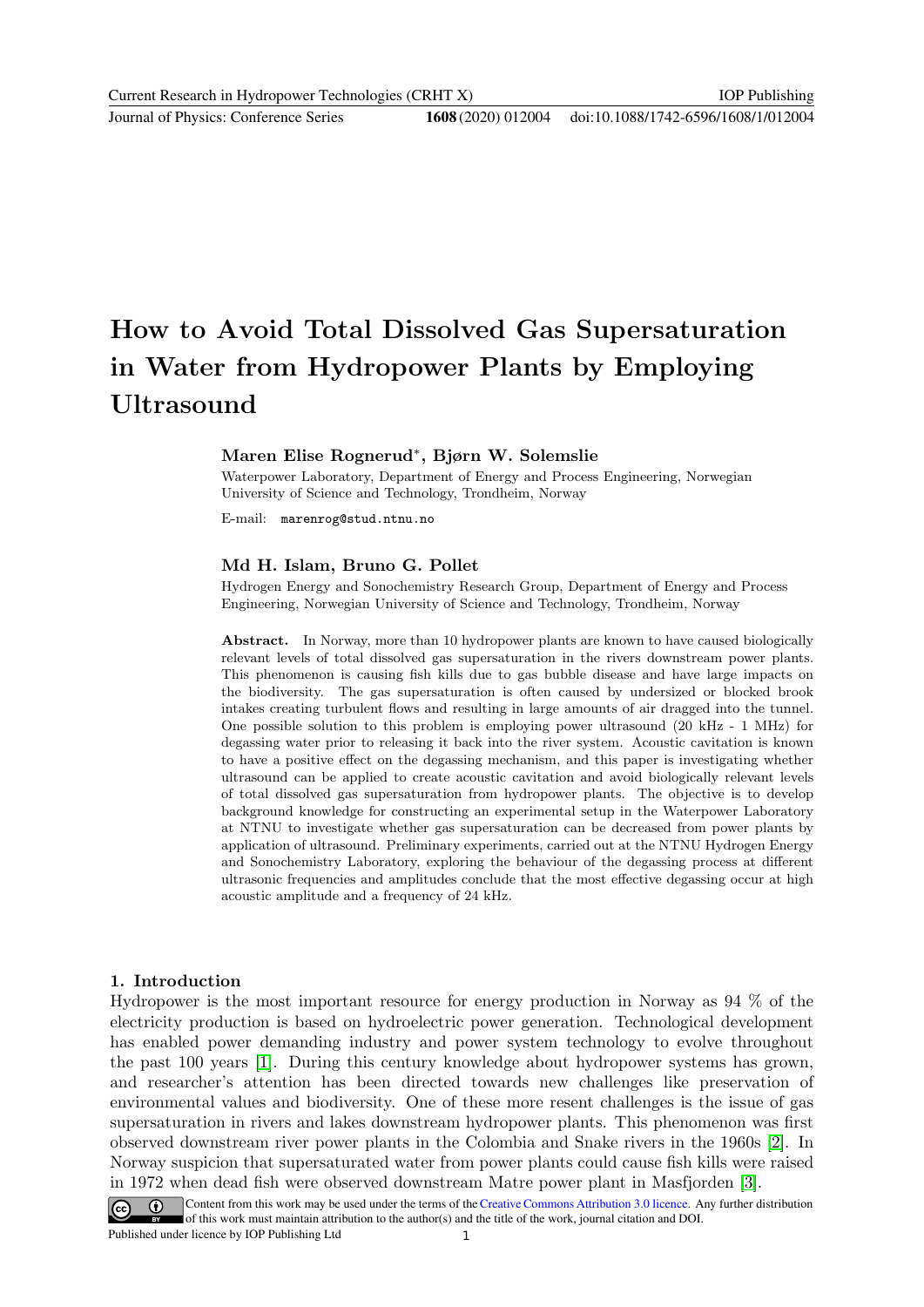Journal of Physics: Conference Series **1608** (2020) 012004

## How to Avoid Total Dissolved Gas Supersaturation in Water from Hydropower Plants by Employing Ultrasound

#### Maren Elise Rognerud<sup>∗</sup> , Bjørn W. Solemslie

Waterpower Laboratory, Department of Energy and Process Engineering, Norwegian University of Science and Technology, Trondheim, Norway

E-mail: marenrog@stud.ntnu.no

#### Md H. Islam, Bruno G. Pollet

Hydrogen Energy and Sonochemistry Research Group, Department of Energy and Process Engineering, Norwegian University of Science and Technology, Trondheim, Norway

Abstract. In Norway, more than 10 hydropower plants are known to have caused biologically relevant levels of total dissolved gas supersaturation in the rivers downstream power plants. This phenomenon is causing fish kills due to gas bubble disease and have large impacts on the biodiversity. The gas supersaturation is often caused by undersized or blocked brook intakes creating turbulent flows and resulting in large amounts of air dragged into the tunnel. One possible solution to this problem is employing power ultrasound (20 kHz - 1 MHz) for degassing water prior to releasing it back into the river system. Acoustic cavitation is known to have a positive effect on the degassing mechanism, and this paper is investigating whether ultrasound can be applied to create acoustic cavitation and avoid biologically relevant levels of total dissolved gas supersaturation from hydropower plants. The objective is to develop background knowledge for constructing an experimental setup in the Waterpower Laboratory at NTNU to investigate whether gas supersaturation can be decreased from power plants by application of ultrasound. Preliminary experiments, carried out at the NTNU Hydrogen Energy and Sonochemistry Laboratory, exploring the behaviour of the degassing process at different ultrasonic frequencies and amplitudes conclude that the most effective degassing occur at high acoustic amplitude and a frequency of 24 kHz.

#### 1. Introduction

Hydropower is the most important resource for energy production in Norway as 94 % of the electricity production is based on hydroelectric power generation. Technological development has enabled power demanding industry and power system technology to evolve throughout the past 100 years [\[1\]](#page-9-0). During this century knowledge about hydropower systems has grown, and researcher's attention has been directed towards new challenges like preservation of environmental values and biodiversity. One of these more resent challenges is the issue of gas supersaturation in rivers and lakes downstream hydropower plants. This phenomenon was first observed downstream river power plants in the Colombia and Snake rivers in the 1960s [\[2\]](#page-9-1). In Norway suspicion that supersaturated water from power plants could cause fish kills were raised in 1972 when dead fish were observed downstream Matre power plant in Masfjorden [\[3\]](#page-9-2).

Content from this work may be used under the terms of the Creative Commons Attribution 3.0 licence. Any further distribution of this work must maintain attribution to the author(s) and the title of the work, journal citation and DOI. Published under licence by IOP Publishing Ltd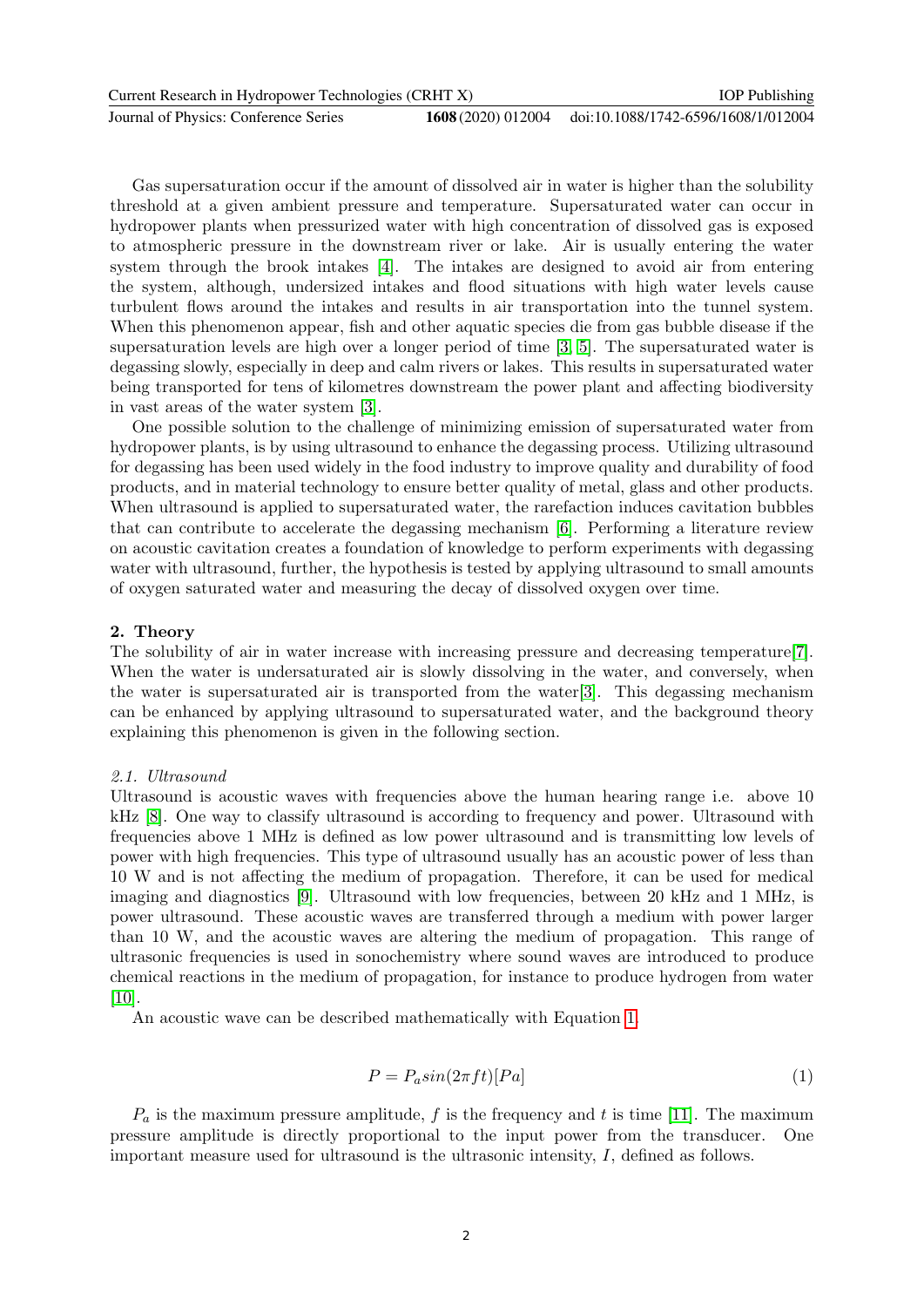| Current Research in Hydropower Technologies (CRHT X) |  | <b>IOP</b> Publishing                                  |
|------------------------------------------------------|--|--------------------------------------------------------|
| Journal of Physics: Conference Series                |  | 1608 (2020) 012004 doi:10.1088/1742-6596/1608/1/012004 |

Gas supersaturation occur if the amount of dissolved air in water is higher than the solubility threshold at a given ambient pressure and temperature. Supersaturated water can occur in hydropower plants when pressurized water with high concentration of dissolved gas is exposed to atmospheric pressure in the downstream river or lake. Air is usually entering the water system through the brook intakes [\[4\]](#page-9-3). The intakes are designed to avoid air from entering the system, although, undersized intakes and flood situations with high water levels cause turbulent flows around the intakes and results in air transportation into the tunnel system. When this phenomenon appear, fish and other aquatic species die from gas bubble disease if the supersaturation levels are high over a longer period of time [\[3,](#page-9-2) [5\]](#page-9-4). The supersaturated water is degassing slowly, especially in deep and calm rivers or lakes. This results in supersaturated water being transported for tens of kilometres downstream the power plant and affecting biodiversity in vast areas of the water system [\[3\]](#page-9-2).

One possible solution to the challenge of minimizing emission of supersaturated water from hydropower plants, is by using ultrasound to enhance the degassing process. Utilizing ultrasound for degassing has been used widely in the food industry to improve quality and durability of food products, and in material technology to ensure better quality of metal, glass and other products. When ultrasound is applied to supersaturated water, the rarefaction induces cavitation bubbles that can contribute to accelerate the degassing mechanism [\[6\]](#page-9-5). Performing a literature review on acoustic cavitation creates a foundation of knowledge to perform experiments with degassing water with ultrasound, further, the hypothesis is tested by applying ultrasound to small amounts of oxygen saturated water and measuring the decay of dissolved oxygen over time.

#### 2. Theory

The solubility of air in water increase with increasing pressure and decreasing temperature[\[7\]](#page-9-6). When the water is undersaturated air is slowly dissolving in the water, and conversely, when the water is supersaturated air is transported from the water[\[3\]](#page-9-2). This degassing mechanism can be enhanced by applying ultrasound to supersaturated water, and the background theory explaining this phenomenon is given in the following section.

#### 2.1. Ultrasound

Ultrasound is acoustic waves with frequencies above the human hearing range i.e. above 10 kHz [\[8\]](#page-9-7). One way to classify ultrasound is according to frequency and power. Ultrasound with frequencies above 1 MHz is defined as low power ultrasound and is transmitting low levels of power with high frequencies. This type of ultrasound usually has an acoustic power of less than 10 W and is not affecting the medium of propagation. Therefore, it can be used for medical imaging and diagnostics [\[9\]](#page-10-0). Ultrasound with low frequencies, between 20 kHz and 1 MHz, is power ultrasound. These acoustic waves are transferred through a medium with power larger than 10 W, and the acoustic waves are altering the medium of propagation. This range of ultrasonic frequencies is used in sonochemistry where sound waves are introduced to produce chemical reactions in the medium of propagation, for instance to produce hydrogen from water [\[10\]](#page-10-1).

An acoustic wave can be described mathematically with Equation [1.](#page-2-0)

<span id="page-2-0"></span>
$$
P = P_a \sin(2\pi ft) [Pa] \tag{1}
$$

 $P_a$  is the maximum pressure amplitude, f is the frequency and t is time [\[11\]](#page-10-2). The maximum pressure amplitude is directly proportional to the input power from the transducer. One important measure used for ultrasound is the ultrasonic intensity, I, defined as follows.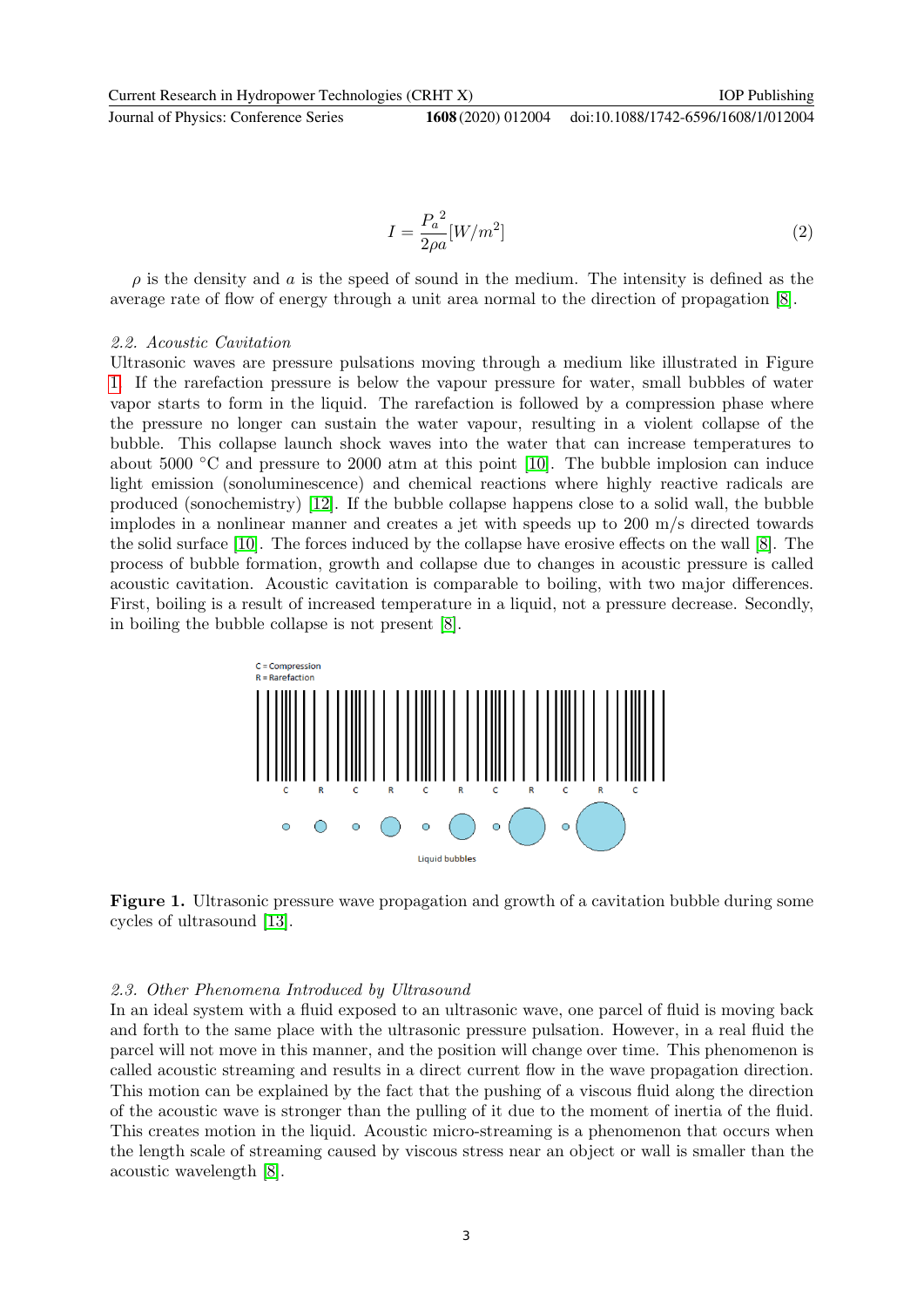Journal of Physics: Conference Series **1608** (2020) 012004

IOP Publishing

$$
I = \frac{P_a^2}{2\rho a} [W/m^2]
$$
\n<sup>(2)</sup>

 $\rho$  is the density and a is the speed of sound in the medium. The intensity is defined as the average rate of flow of energy through a unit area normal to the direction of propagation [\[8\]](#page-9-7).

#### 2.2. Acoustic Cavitation

Ultrasonic waves are pressure pulsations moving through a medium like illustrated in Figure [1.](#page-3-0) If the rarefaction pressure is below the vapour pressure for water, small bubbles of water vapor starts to form in the liquid. The rarefaction is followed by a compression phase where the pressure no longer can sustain the water vapour, resulting in a violent collapse of the bubble. This collapse launch shock waves into the water that can increase temperatures to about 5000  $\degree$ C and pressure to 2000 atm at this point [\[10\]](#page-10-1). The bubble implosion can induce light emission (sonoluminescence) and chemical reactions where highly reactive radicals are produced (sonochemistry) [\[12\]](#page-10-3). If the bubble collapse happens close to a solid wall, the bubble implodes in a nonlinear manner and creates a jet with speeds up to 200 m/s directed towards the solid surface [\[10\]](#page-10-1). The forces induced by the collapse have erosive effects on the wall [\[8\]](#page-9-7). The process of bubble formation, growth and collapse due to changes in acoustic pressure is called acoustic cavitation. Acoustic cavitation is comparable to boiling, with two major differences. First, boiling is a result of increased temperature in a liquid, not a pressure decrease. Secondly, in boiling the bubble collapse is not present [\[8\]](#page-9-7).



<span id="page-3-0"></span>Figure 1. Ultrasonic pressure wave propagation and growth of a cavitation bubble during some cycles of ultrasound [\[13\]](#page-10-4).

#### 2.3. Other Phenomena Introduced by Ultrasound

In an ideal system with a fluid exposed to an ultrasonic wave, one parcel of fluid is moving back and forth to the same place with the ultrasonic pressure pulsation. However, in a real fluid the parcel will not move in this manner, and the position will change over time. This phenomenon is called acoustic streaming and results in a direct current flow in the wave propagation direction. This motion can be explained by the fact that the pushing of a viscous fluid along the direction of the acoustic wave is stronger than the pulling of it due to the moment of inertia of the fluid. This creates motion in the liquid. Acoustic micro-streaming is a phenomenon that occurs when the length scale of streaming caused by viscous stress near an object or wall is smaller than the acoustic wavelength [\[8\]](#page-9-7).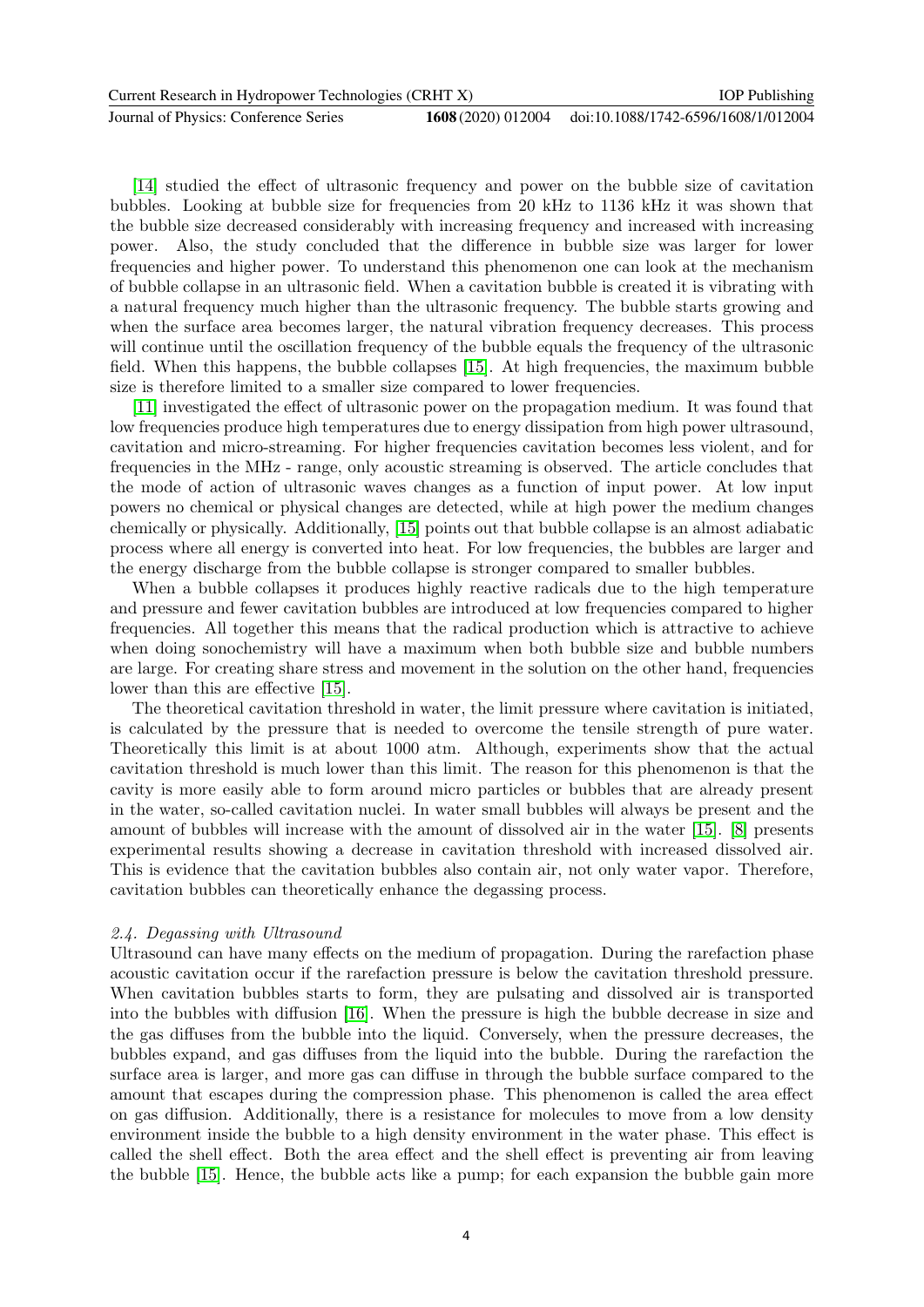| Current Research in Hydropower Technologies (CRHT X) | <b>IOP</b> Publishing |                                                        |
|------------------------------------------------------|-----------------------|--------------------------------------------------------|
| Journal of Physics: Conference Series                |                       | 1608 (2020) 012004 doi:10.1088/1742-6596/1608/1/012004 |

[\[14\]](#page-10-5) studied the effect of ultrasonic frequency and power on the bubble size of cavitation bubbles. Looking at bubble size for frequencies from 20 kHz to 1136 kHz it was shown that the bubble size decreased considerably with increasing frequency and increased with increasing power. Also, the study concluded that the difference in bubble size was larger for lower frequencies and higher power. To understand this phenomenon one can look at the mechanism of bubble collapse in an ultrasonic field. When a cavitation bubble is created it is vibrating with a natural frequency much higher than the ultrasonic frequency. The bubble starts growing and when the surface area becomes larger, the natural vibration frequency decreases. This process will continue until the oscillation frequency of the bubble equals the frequency of the ultrasonic field. When this happens, the bubble collapses [\[15\]](#page-10-6). At high frequencies, the maximum bubble size is therefore limited to a smaller size compared to lower frequencies.

[\[11\]](#page-10-2) investigated the effect of ultrasonic power on the propagation medium. It was found that low frequencies produce high temperatures due to energy dissipation from high power ultrasound, cavitation and micro-streaming. For higher frequencies cavitation becomes less violent, and for frequencies in the MHz - range, only acoustic streaming is observed. The article concludes that the mode of action of ultrasonic waves changes as a function of input power. At low input powers no chemical or physical changes are detected, while at high power the medium changes chemically or physically. Additionally, [\[15\]](#page-10-6) points out that bubble collapse is an almost adiabatic process where all energy is converted into heat. For low frequencies, the bubbles are larger and the energy discharge from the bubble collapse is stronger compared to smaller bubbles.

When a bubble collapses it produces highly reactive radicals due to the high temperature and pressure and fewer cavitation bubbles are introduced at low frequencies compared to higher frequencies. All together this means that the radical production which is attractive to achieve when doing sonochemistry will have a maximum when both bubble size and bubble numbers are large. For creating share stress and movement in the solution on the other hand, frequencies lower than this are effective [\[15\]](#page-10-6).

The theoretical cavitation threshold in water, the limit pressure where cavitation is initiated, is calculated by the pressure that is needed to overcome the tensile strength of pure water. Theoretically this limit is at about 1000 atm. Although, experiments show that the actual cavitation threshold is much lower than this limit. The reason for this phenomenon is that the cavity is more easily able to form around micro particles or bubbles that are already present in the water, so-called cavitation nuclei. In water small bubbles will always be present and the amount of bubbles will increase with the amount of dissolved air in the water [\[15\]](#page-10-6). [\[8\]](#page-9-7) presents experimental results showing a decrease in cavitation threshold with increased dissolved air. This is evidence that the cavitation bubbles also contain air, not only water vapor. Therefore, cavitation bubbles can theoretically enhance the degassing process.

#### 2.4. Degassing with Ultrasound

Ultrasound can have many effects on the medium of propagation. During the rarefaction phase acoustic cavitation occur if the rarefaction pressure is below the cavitation threshold pressure. When cavitation bubbles starts to form, they are pulsating and dissolved air is transported into the bubbles with diffusion [\[16\]](#page-10-7). When the pressure is high the bubble decrease in size and the gas diffuses from the bubble into the liquid. Conversely, when the pressure decreases, the bubbles expand, and gas diffuses from the liquid into the bubble. During the rarefaction the surface area is larger, and more gas can diffuse in through the bubble surface compared to the amount that escapes during the compression phase. This phenomenon is called the area effect on gas diffusion. Additionally, there is a resistance for molecules to move from a low density environment inside the bubble to a high density environment in the water phase. This effect is called the shell effect. Both the area effect and the shell effect is preventing air from leaving the bubble [\[15\]](#page-10-6). Hence, the bubble acts like a pump; for each expansion the bubble gain more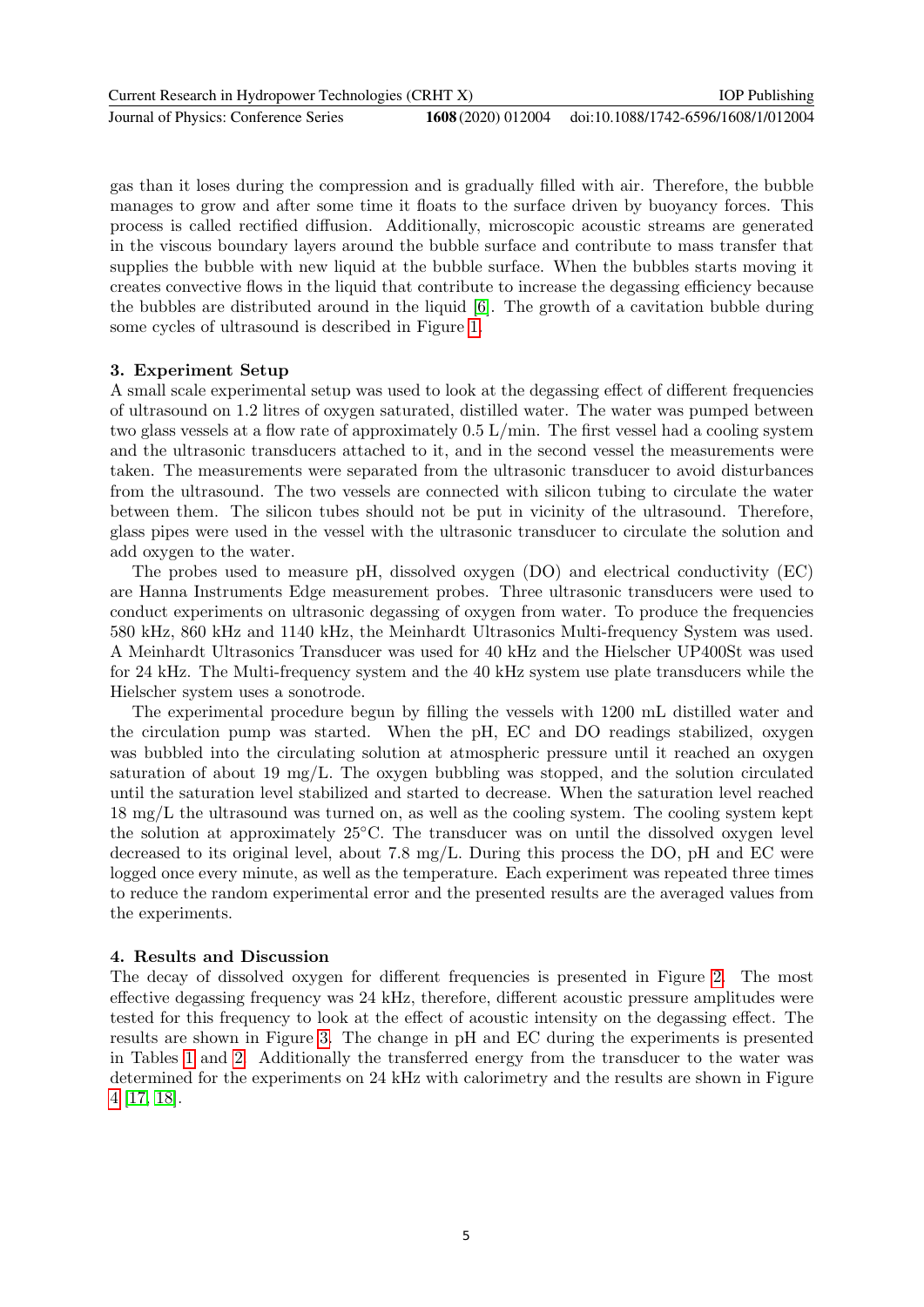| Current Research in Hydropower Technologies (CRHT X) |  | <b>IOP</b> Publishing                                  |
|------------------------------------------------------|--|--------------------------------------------------------|
| Journal of Physics: Conference Series                |  | 1608 (2020) 012004 doi:10.1088/1742-6596/1608/1/012004 |

gas than it loses during the compression and is gradually filled with air. Therefore, the bubble manages to grow and after some time it floats to the surface driven by buoyancy forces. This process is called rectified diffusion. Additionally, microscopic acoustic streams are generated in the viscous boundary layers around the bubble surface and contribute to mass transfer that supplies the bubble with new liquid at the bubble surface. When the bubbles starts moving it creates convective flows in the liquid that contribute to increase the degassing efficiency because the bubbles are distributed around in the liquid [\[6\]](#page-9-5). The growth of a cavitation bubble during some cycles of ultrasound is described in Figure [1.](#page-3-0)

#### 3. Experiment Setup

A small scale experimental setup was used to look at the degassing effect of different frequencies of ultrasound on 1.2 litres of oxygen saturated, distilled water. The water was pumped between two glass vessels at a flow rate of approximately 0.5 L/min. The first vessel had a cooling system and the ultrasonic transducers attached to it, and in the second vessel the measurements were taken. The measurements were separated from the ultrasonic transducer to avoid disturbances from the ultrasound. The two vessels are connected with silicon tubing to circulate the water between them. The silicon tubes should not be put in vicinity of the ultrasound. Therefore, glass pipes were used in the vessel with the ultrasonic transducer to circulate the solution and add oxygen to the water.

The probes used to measure pH, dissolved oxygen (DO) and electrical conductivity (EC) are Hanna Instruments Edge measurement probes. Three ultrasonic transducers were used to conduct experiments on ultrasonic degassing of oxygen from water. To produce the frequencies 580 kHz, 860 kHz and 1140 kHz, the Meinhardt Ultrasonics Multi-frequency System was used. A Meinhardt Ultrasonics Transducer was used for 40 kHz and the Hielscher UP400St was used for 24 kHz. The Multi-frequency system and the 40 kHz system use plate transducers while the Hielscher system uses a sonotrode.

The experimental procedure begun by filling the vessels with 1200 mL distilled water and the circulation pump was started. When the pH, EC and DO readings stabilized, oxygen was bubbled into the circulating solution at atmospheric pressure until it reached an oxygen saturation of about 19 mg/L. The oxygen bubbling was stopped, and the solution circulated until the saturation level stabilized and started to decrease. When the saturation level reached 18 mg/L the ultrasound was turned on, as well as the cooling system. The cooling system kept the solution at approximately 25◦C. The transducer was on until the dissolved oxygen level decreased to its original level, about 7.8 mg/L. During this process the DO, pH and EC were logged once every minute, as well as the temperature. Each experiment was repeated three times to reduce the random experimental error and the presented results are the averaged values from the experiments.

#### 4. Results and Discussion

The decay of dissolved oxygen for different frequencies is presented in Figure [2.](#page-6-0) The most effective degassing frequency was 24 kHz, therefore, different acoustic pressure amplitudes were tested for this frequency to look at the effect of acoustic intensity on the degassing effect. The results are shown in Figure [3.](#page-6-1) The change in pH and EC during the experiments is presented in Tables [1](#page-8-0) and [2.](#page-8-1) Additionally the transferred energy from the transducer to the water was determined for the experiments on 24 kHz with calorimetry and the results are shown in Figure [4](#page-8-2) [\[17,](#page-10-8) [18\]](#page-10-9).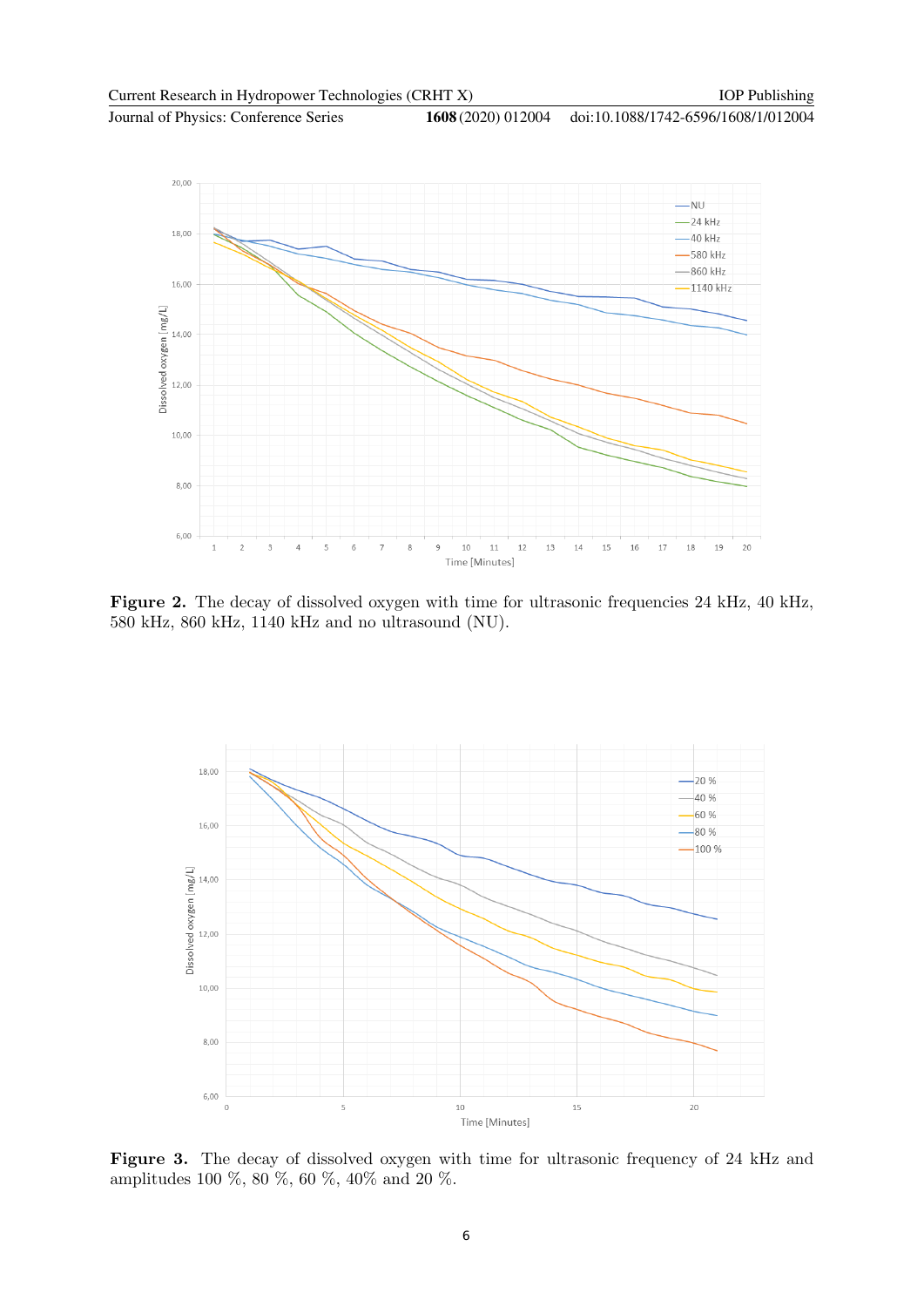

<span id="page-6-0"></span>Figure 2. The decay of dissolved oxygen with time for ultrasonic frequencies 24 kHz, 40 kHz, 580 kHz, 860 kHz, 1140 kHz and no ultrasound (NU).



<span id="page-6-1"></span>Figure 3. The decay of dissolved oxygen with time for ultrasonic frequency of 24 kHz and amplitudes 100 %, 80 %, 60 %, 40% and 20 %.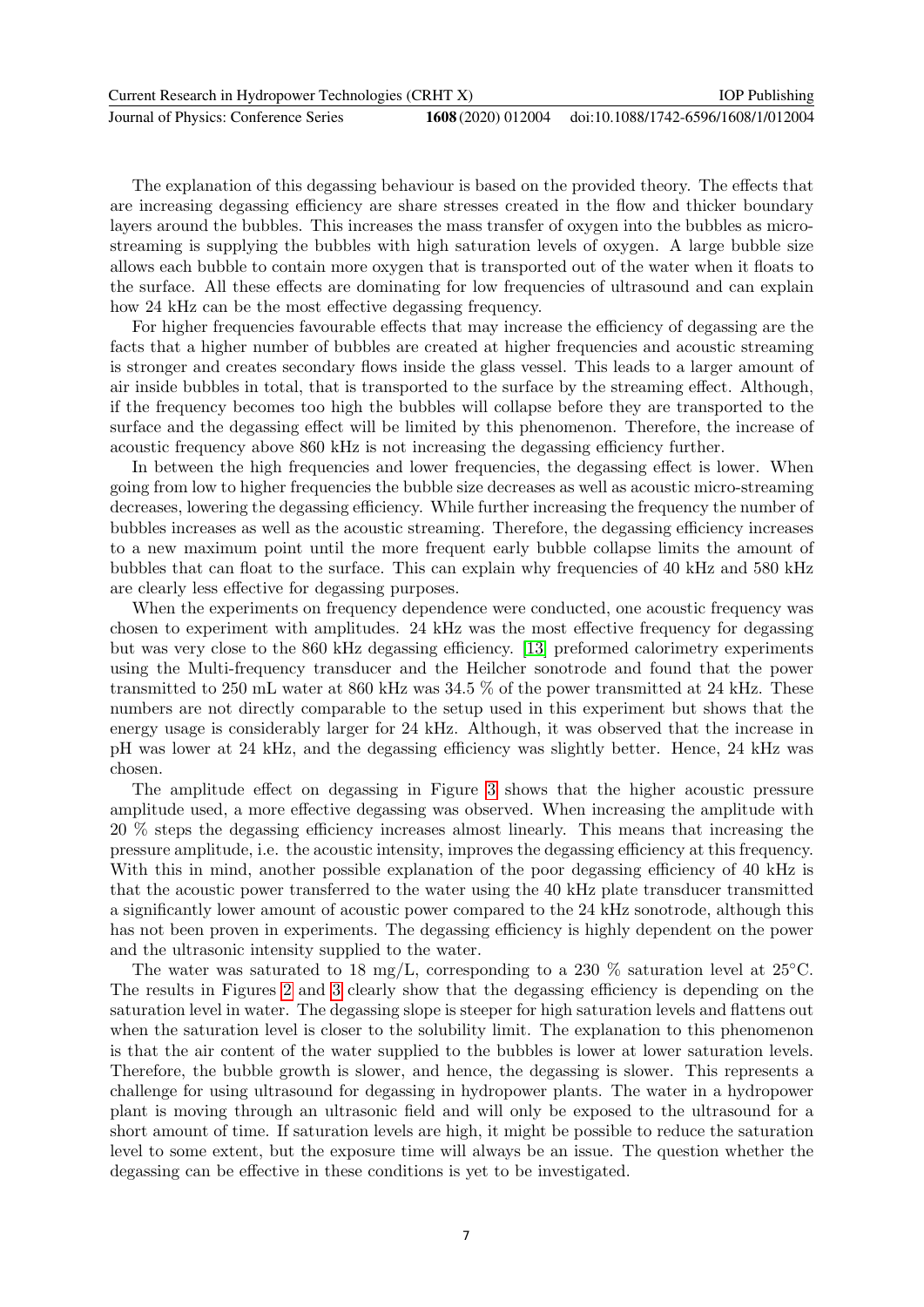| Current Research in Hydropower Technologies (CRHT X) |  | <b>IOP</b> Publishing                                  |
|------------------------------------------------------|--|--------------------------------------------------------|
| Journal of Physics: Conference Series                |  | 1608 (2020) 012004 doi:10.1088/1742-6596/1608/1/012004 |

The explanation of this degassing behaviour is based on the provided theory. The effects that are increasing degassing efficiency are share stresses created in the flow and thicker boundary layers around the bubbles. This increases the mass transfer of oxygen into the bubbles as microstreaming is supplying the bubbles with high saturation levels of oxygen. A large bubble size allows each bubble to contain more oxygen that is transported out of the water when it floats to the surface. All these effects are dominating for low frequencies of ultrasound and can explain how 24 kHz can be the most effective degassing frequency.

For higher frequencies favourable effects that may increase the efficiency of degassing are the facts that a higher number of bubbles are created at higher frequencies and acoustic streaming is stronger and creates secondary flows inside the glass vessel. This leads to a larger amount of air inside bubbles in total, that is transported to the surface by the streaming effect. Although, if the frequency becomes too high the bubbles will collapse before they are transported to the surface and the degassing effect will be limited by this phenomenon. Therefore, the increase of acoustic frequency above 860 kHz is not increasing the degassing efficiency further.

In between the high frequencies and lower frequencies, the degassing effect is lower. When going from low to higher frequencies the bubble size decreases as well as acoustic micro-streaming decreases, lowering the degassing efficiency. While further increasing the frequency the number of bubbles increases as well as the acoustic streaming. Therefore, the degassing efficiency increases to a new maximum point until the more frequent early bubble collapse limits the amount of bubbles that can float to the surface. This can explain why frequencies of 40 kHz and 580 kHz are clearly less effective for degassing purposes.

When the experiments on frequency dependence were conducted, one acoustic frequency was chosen to experiment with amplitudes. 24 kHz was the most effective frequency for degassing but was very close to the 860 kHz degassing efficiency. [\[13\]](#page-10-4) preformed calorimetry experiments using the Multi-frequency transducer and the Heilcher sonotrode and found that the power transmitted to 250 mL water at 860 kHz was 34.5 % of the power transmitted at 24 kHz. These numbers are not directly comparable to the setup used in this experiment but shows that the energy usage is considerably larger for 24 kHz. Although, it was observed that the increase in pH was lower at 24 kHz, and the degassing efficiency was slightly better. Hence, 24 kHz was chosen.

The amplitude effect on degassing in Figure [3](#page-6-1) shows that the higher acoustic pressure amplitude used, a more effective degassing was observed. When increasing the amplitude with 20 % steps the degassing efficiency increases almost linearly. This means that increasing the pressure amplitude, i.e. the acoustic intensity, improves the degassing efficiency at this frequency. With this in mind, another possible explanation of the poor degassing efficiency of 40 kHz is that the acoustic power transferred to the water using the 40 kHz plate transducer transmitted a significantly lower amount of acoustic power compared to the 24 kHz sonotrode, although this has not been proven in experiments. The degassing efficiency is highly dependent on the power and the ultrasonic intensity supplied to the water.

The water was saturated to 18 mg/L, corresponding to a 230 % saturation level at 25<sup>°</sup>C. The results in Figures [2](#page-6-0) and [3](#page-6-1) clearly show that the degassing efficiency is depending on the saturation level in water. The degassing slope is steeper for high saturation levels and flattens out when the saturation level is closer to the solubility limit. The explanation to this phenomenon is that the air content of the water supplied to the bubbles is lower at lower saturation levels. Therefore, the bubble growth is slower, and hence, the degassing is slower. This represents a challenge for using ultrasound for degassing in hydropower plants. The water in a hydropower plant is moving through an ultrasonic field and will only be exposed to the ultrasound for a short amount of time. If saturation levels are high, it might be possible to reduce the saturation level to some extent, but the exposure time will always be an issue. The question whether the degassing can be effective in these conditions is yet to be investigated.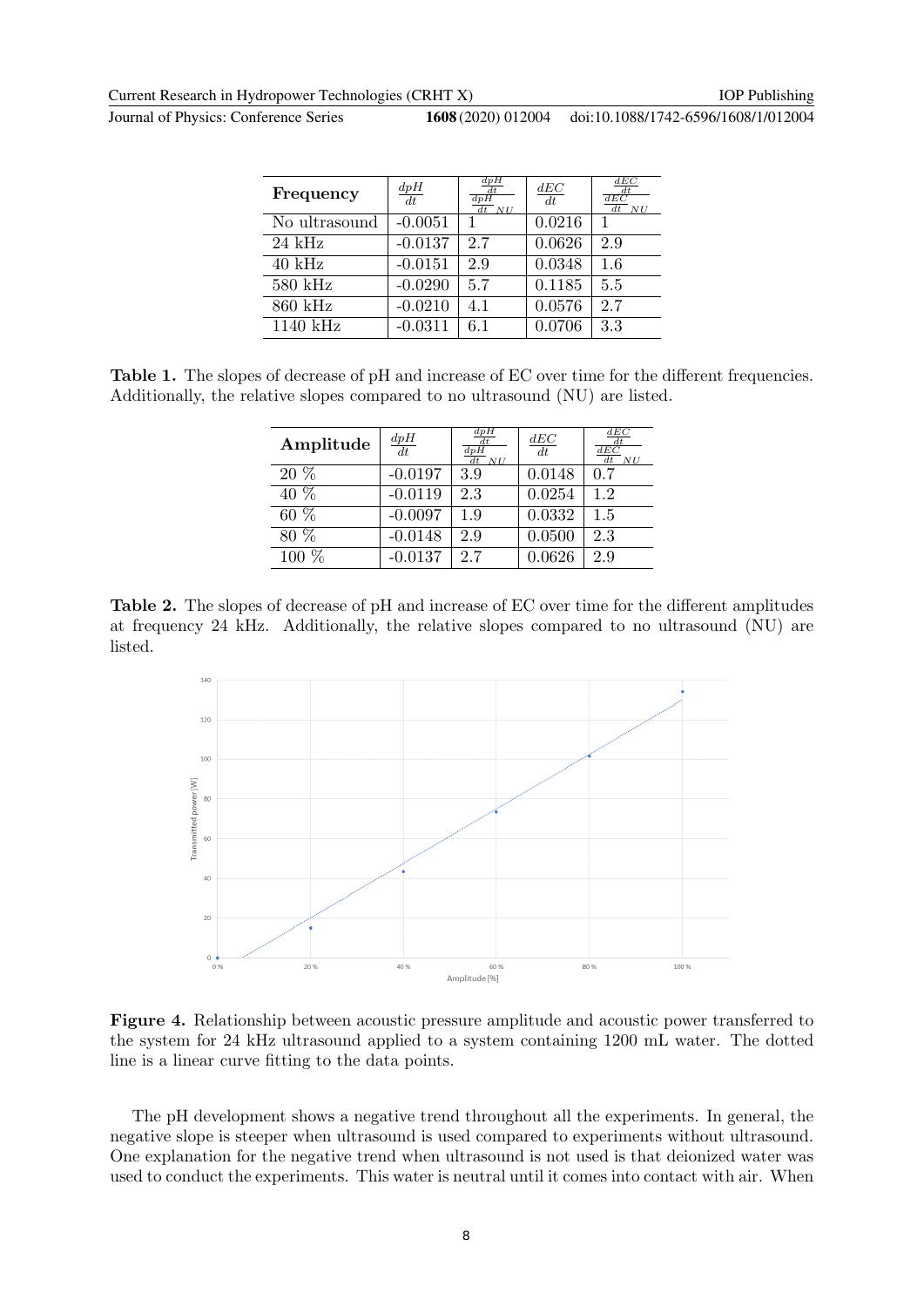Journal of Physics: Conference Series **1608** (2020) 012004

doi:10.1088/1742-6596/1608/1/012004

| Frequency          | $\frac{dpH}{dt}$ | dpH<br>$\frac{\overline{dt}}{dpH}$<br>$dt$ NII | dEC<br>dt | dEC<br>$\frac{dt}{dEC}$<br>$dt$ NU |
|--------------------|------------------|------------------------------------------------|-----------|------------------------------------|
| No ultrasound      | $-0.0051$        |                                                | 0.0216    |                                    |
| $24 \text{ kHz}$   | $-0.0137$        | 2.7                                            | 0.0626    | 2.9                                |
| $40 \text{ kHz}$   | $-0.0151$        | 2.9                                            | 0.0348    | 1.6                                |
| $580$ kHz          | $-0.0290$        | 5.7                                            | 0.1185    | 5.5                                |
| 860 kHz            | $-0.0210$        | 4.1                                            | 0.0576    | 2.7                                |
| $1140 \text{ kHz}$ | $-0.0311$        | 6.1                                            | 0.0706    | 3.3                                |

<span id="page-8-0"></span>Table 1. The slopes of decrease of pH and increase of EC over time for the different frequencies. Additionally, the relative slopes compared to no ultrasound (NU) are listed.

| Amplitude         | $\frac{dpH}{dt}$ | dpH<br>dt<br>$\overline{dpH}$<br>$\overline{dt}$ NU | $\underline{dEC}$<br>dt | dEC<br>dt<br>$\overline{dEC}$<br>$\overline{dt}$ NU |
|-------------------|------------------|-----------------------------------------------------|-------------------------|-----------------------------------------------------|
| 20 %              | $-0.0197$        | 3.9                                                 | 0.0148                  | 0.7                                                 |
| $40\%$            | $-0.0119$        | 2.3                                                 | 0.0254                  | 1.2                                                 |
| $\overline{60}$ % | $-0.0097$        | 1.9                                                 | 0.0332                  | 1.5                                                 |
| $80\%$            | $-0.0148$        | 2.9                                                 | 0.0500                  | 2.3                                                 |
| 100               | $-0.0137$        | 2.7                                                 | 0.0626                  | 2.9                                                 |

Table 2. The slopes of decrease of pH and increase of EC over time for the different amplitudes at frequency 24 kHz. Additionally, the relative slopes compared to no ultrasound (NU) are listed.

<span id="page-8-1"></span>

<span id="page-8-2"></span>Figure 4. Relationship between acoustic pressure amplitude and acoustic power transferred to the system for 24 kHz ultrasound applied to a system containing 1200 mL water. The dotted line is a linear curve fitting to the data points.

The pH development shows a negative trend throughout all the experiments. In general, the negative slope is steeper when ultrasound is used compared to experiments without ultrasound. One explanation for the negative trend when ultrasound is not used is that deionized water was used to conduct the experiments. This water is neutral until it comes into contact with air. When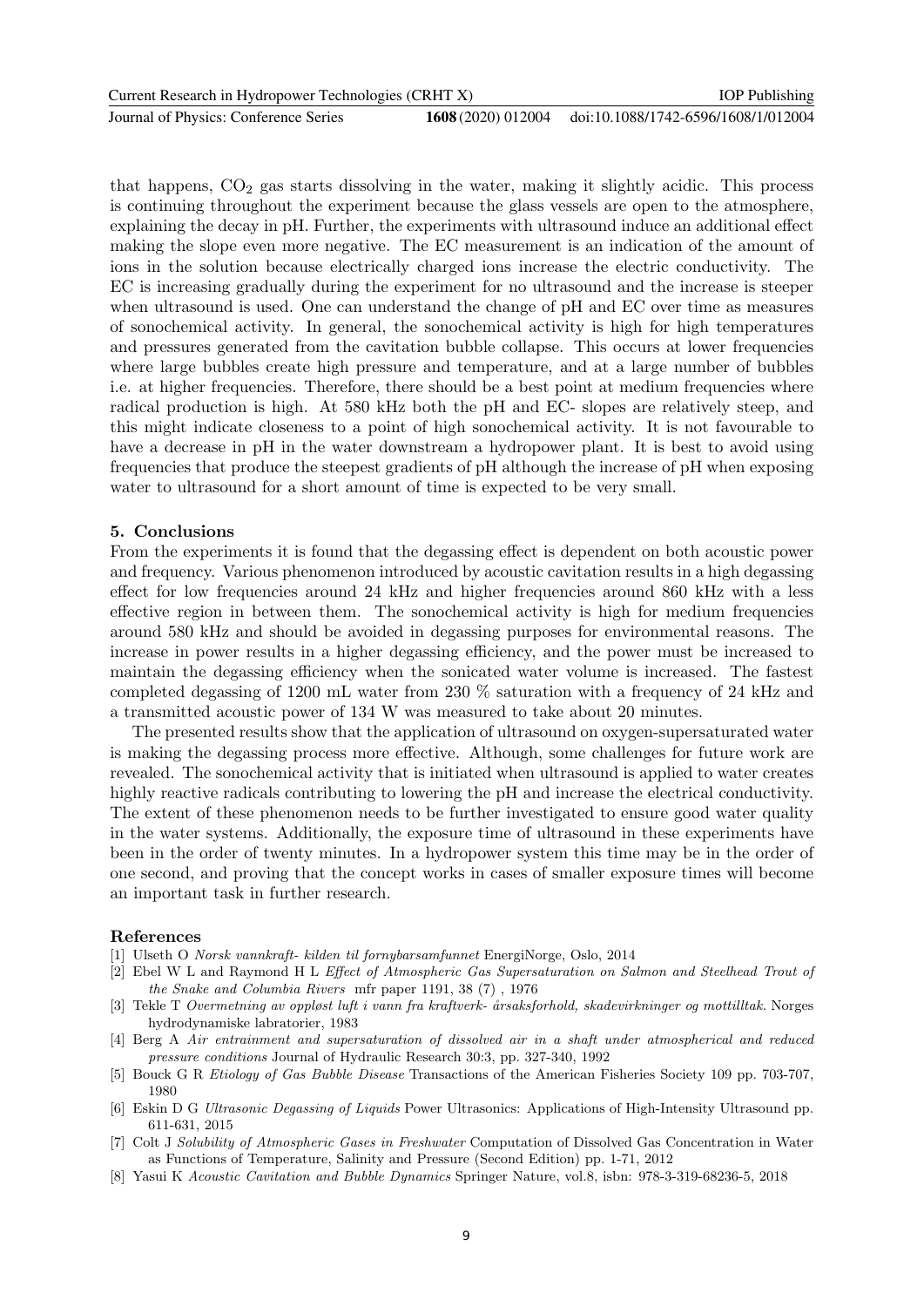| Current Research in Hydropower Technologies (CRHT X) | <b>IOP</b> Publishing |                                     |
|------------------------------------------------------|-----------------------|-------------------------------------|
| Journal of Physics: Conference Series                | 1608 (2020) 012004    | doi:10.1088/1742-6596/1608/1/012004 |

that happens,  $CO<sub>2</sub>$  gas starts dissolving in the water, making it slightly acidic. This process is continuing throughout the experiment because the glass vessels are open to the atmosphere, explaining the decay in pH. Further, the experiments with ultrasound induce an additional effect making the slope even more negative. The EC measurement is an indication of the amount of ions in the solution because electrically charged ions increase the electric conductivity. The EC is increasing gradually during the experiment for no ultrasound and the increase is steeper when ultrasound is used. One can understand the change of pH and EC over time as measures of sonochemical activity. In general, the sonochemical activity is high for high temperatures and pressures generated from the cavitation bubble collapse. This occurs at lower frequencies where large bubbles create high pressure and temperature, and at a large number of bubbles i.e. at higher frequencies. Therefore, there should be a best point at medium frequencies where radical production is high. At 580 kHz both the pH and EC- slopes are relatively steep, and this might indicate closeness to a point of high sonochemical activity. It is not favourable to have a decrease in pH in the water downstream a hydropower plant. It is best to avoid using frequencies that produce the steepest gradients of pH although the increase of pH when exposing water to ultrasound for a short amount of time is expected to be very small.

#### 5. Conclusions

From the experiments it is found that the degassing effect is dependent on both acoustic power and frequency. Various phenomenon introduced by acoustic cavitation results in a high degassing effect for low frequencies around 24 kHz and higher frequencies around 860 kHz with a less effective region in between them. The sonochemical activity is high for medium frequencies around 580 kHz and should be avoided in degassing purposes for environmental reasons. The increase in power results in a higher degassing efficiency, and the power must be increased to maintain the degassing efficiency when the sonicated water volume is increased. The fastest completed degassing of 1200 mL water from 230 % saturation with a frequency of 24 kHz and a transmitted acoustic power of 134 W was measured to take about 20 minutes.

The presented results show that the application of ultrasound on oxygen-supersaturated water is making the degassing process more effective. Although, some challenges for future work are revealed. The sonochemical activity that is initiated when ultrasound is applied to water creates highly reactive radicals contributing to lowering the pH and increase the electrical conductivity. The extent of these phenomenon needs to be further investigated to ensure good water quality in the water systems. Additionally, the exposure time of ultrasound in these experiments have been in the order of twenty minutes. In a hydropower system this time may be in the order of one second, and proving that the concept works in cases of smaller exposure times will become an important task in further research.

#### References

- <span id="page-9-0"></span>[1] Ulseth O Norsk vannkraft- kilden til fornybarsamfunnet EnergiNorge, Oslo, 2014
- <span id="page-9-1"></span>[2] Ebel W L and Raymond H L Effect of Atmospheric Gas Supersaturation on Salmon and Steelhead Trout of the Snake and Columbia Rivers mfr paper 1191, 38 (7) , 1976
- <span id="page-9-2"></span>[3] Tekle T Overmetning av oppløst luft i vann fra kraftverk- årsaksforhold, skadevirkninger og mottilltak. Norges hydrodynamiske labratorier, 1983
- <span id="page-9-3"></span>[4] Berg A Air entrainment and supersaturation of dissolved air in a shaft under atmospherical and reduced pressure conditions Journal of Hydraulic Research 30:3, pp. 327-340, 1992
- <span id="page-9-4"></span>[5] Bouck G R Etiology of Gas Bubble Disease Transactions of the American Fisheries Society 109 pp. 703-707, 1980
- <span id="page-9-5"></span>[6] Eskin D G Ultrasonic Degassing of Liquids Power Ultrasonics: Applications of High-Intensity Ultrasound pp. 611-631, 2015
- <span id="page-9-6"></span>[7] Colt J Solubility of Atmospheric Gases in Freshwater Computation of Dissolved Gas Concentration in Water as Functions of Temperature, Salinity and Pressure (Second Edition) pp. 1-71, 2012
- <span id="page-9-7"></span>[8] Yasui K Acoustic Cavitation and Bubble Dynamics Springer Nature, vol.8, isbn: 978-3-319-68236-5, 2018